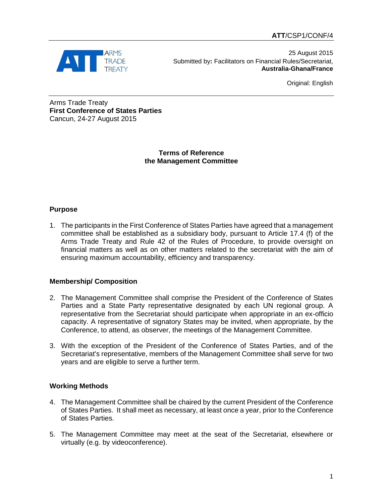

25 August 2015 Submitted by**:** Facilitators on Financial Rules/Secretariat, **Australia-Ghana/France**

Original: English

Arms Trade Treaty **First Conference of States Parties** Cancun, 24-27 August 2015

> **Terms of Reference the Management Committee**

## **Purpose**

1. The participants in the First Conference of States Parties have agreed that a management committee shall be established as a subsidiary body, pursuant to Article 17.4 (f) of the Arms Trade Treaty and Rule 42 of the Rules of Procedure, to provide oversight on financial matters as well as on other matters related to the secretariat with the aim of ensuring maximum accountability, efficiency and transparency.

## **Membership/ Composition**

- 2. The Management Committee shall comprise the President of the Conference of States Parties and a State Party representative designated by each UN regional group. A representative from the Secretariat should participate when appropriate in an ex-officio capacity. A representative of signatory States may be invited, when appropriate, by the Conference, to attend, as observer, the meetings of the Management Committee.
- 3. With the exception of the President of the Conference of States Parties, and of the Secretariat's representative, members of the Management Committee shall serve for two years and are eligible to serve a further term.

## **Working Methods**

- 4. The Management Committee shall be chaired by the current President of the Conference of States Parties. It shall meet as necessary, at least once a year, prior to the Conference of States Parties.
- 5. The Management Committee may meet at the seat of the Secretariat, elsewhere or virtually (e.g. by videoconference).